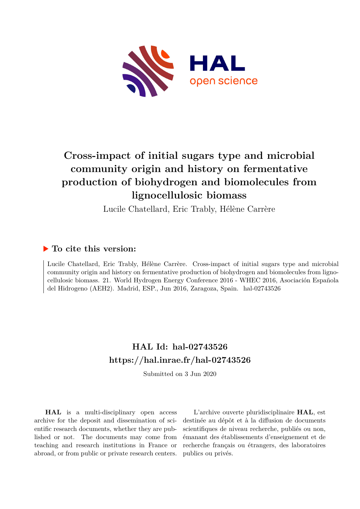

# **Cross-impact of initial sugars type and microbial community origin and history on fermentative production of biohydrogen and biomolecules from lignocellulosic biomass**

Lucile Chatellard, Eric Trably, Hélène Carrère

### **To cite this version:**

Lucile Chatellard, Eric Trably, Hélène Carrère. Cross-impact of initial sugars type and microbial community origin and history on fermentative production of biohydrogen and biomolecules from lignocellulosic biomass. 21. World Hydrogen Energy Conference 2016 - WHEC 2016, Asociación Española del Hidrogeno (AEH2). Madrid, ESP., Jun 2016, Zaragoza, Spain. hal-02743526

## **HAL Id: hal-02743526 <https://hal.inrae.fr/hal-02743526>**

Submitted on 3 Jun 2020

**HAL** is a multi-disciplinary open access archive for the deposit and dissemination of scientific research documents, whether they are published or not. The documents may come from teaching and research institutions in France or abroad, or from public or private research centers.

L'archive ouverte pluridisciplinaire **HAL**, est destinée au dépôt et à la diffusion de documents scientifiques de niveau recherche, publiés ou non, émanant des établissements d'enseignement et de recherche français ou étrangers, des laboratoires publics ou privés.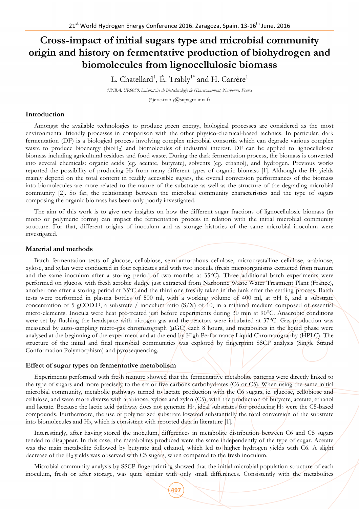### **Cross-impact of initial sugars type and microbial community origin and history on fermentative production of biohydrogen and biomolecules from lignocellulosic biomass**

L. Chatellard $^1$ , É. Trably $^{1^\ast}$  and H. Carrère $^1$ 

*1INRA, UR0050, Laboratoire de Biotechnologie de l'Environnement, Narbonne, France*

(\*)eric.trably@supagro.inra.fr

#### **Introduction**

Amongst the available technologies to produce green energy, biological processes are considered as the most environmental friendly processes in comparison with the other physico-chemical-based technics. In particular, dark fermentation (DF) is a biological process involving complex microbial consortia which can degrade various complex waste to produce bioenergy (bioH<sub>2</sub>) and biomolecules of industrial interest. DF can be applied to lignocellulosic biomass including agricultural residues and food waste. During the dark fermentation process, the biomass is converted into several chemicals: organic acids (eg. acetate, butyrate), solvents (eg. ethanol), and hydrogen. Previous works reported the possibility of producing  $H_2$  from many different types of organic biomass [1]. Although the  $H_2$  yields mainly depend on the total content in readily accessible sugars, the overall conversion performances of the biomass into biomolecules are more related to the nature of the substrate as well as the structure of the degrading microbial community [2]. So far, the relationship between the microbial community characteristics and the type of sugars composing the organic biomass has been only poorly investigated.

The aim of this work is to give new insights on how the different sugar fractions of lignocellulosic biomass (in mono or polymeric forms) can impact the fermentation process in relation with the initial microbial community structure. For that, different origins of inoculum and as storage histories of the same microbial inoculum were investigated.

#### **Material and methods**

Batch fermentation tests of glucose, cellobiose, semi-amorphous cellulose, microcrystalline cellulose, arabinose, xylose, and xylan were conducted in four replicates and with two inocula (fresh microorganisms extracted from manure and the same inoculum after a storing period of two months at 35°C). Three additional batch experiments were performed on glucose with fresh aerobic sludge just extracted from Narbonne Waste Water Treatment Plant (France), another one after a storing period at 35°C and the third one freshly taken in the tank after the settling process. Batch tests were performed in plasma bottles of 500 ml, with a working volume of 400 ml, at pH 6, and a substrate concentration of 5 gCOD.<sup>1-1</sup>, a substrate / inoculum ratio  $(S/X)$  of 10, in a minimal medium composed of essential micro-elements. Inocula were heat pre-treated just before experiments during 30 min at 90°C. Anaerobic conditions were set by flushing the headspace with nitrogen gas and the reactors were incubated at 37°C. Gas production was measured by auto-sampling micro-gas chromatograph (µGC) each 8 hours, and metabolites in the liquid phase were analysed at the beginning of the experiment and at the end by High Performance Liquid Chromatography (HPLC). The structure of the initial and final microbial communities was explored by fingerprint SSCP analysis (Single Strand Conformation Polymorphism) and pyrosequencing.

#### **Effect of sugar types on fermentative metabolism**

Experiments performed with fresh manure showed that the fermentative metabolite patterns were directly linked to the type of sugars and more precisely to the six or five carbons carbohydrates (C6 or C5). When using the same initial microbial community, metabolic pathways turned to lactate production with the C6 sugars, ie. glucose, cellobiose and cellulose, and were more diverse with arabinose, xylose and xylan (C5), with the production of butyrate, acetate, ethanol and lactate. Because the lactic acid pathway does not generate  $H_2$ , ideal substrates for producing  $H_2$  were the C5-based compounds. Furthermore, the use of polymerized substrate lowered substantially the total conversion of the substrate into biomolecules and H2, which is consistent with reported data in literature [1].

Interestingly, after having stored the inoculum, differences in metabolite distribution between C6 and C5 sugars tended to disappear. In this case, the metabolites produced were the same independently of the type of sugar. Acetate was the main metabolite followed by butyrate and ethanol, which led to higher hydrogen yields with C6. A slight decrease of the H2 yields was observed with C5 sugars, when compared to the fresh inoculum.

Microbial community analysis by SSCP fingerprinting showed that the initial microbial population structure of each inoculum, fresh or after storage, was quite similar with only small differences. Consistently with the metabolites